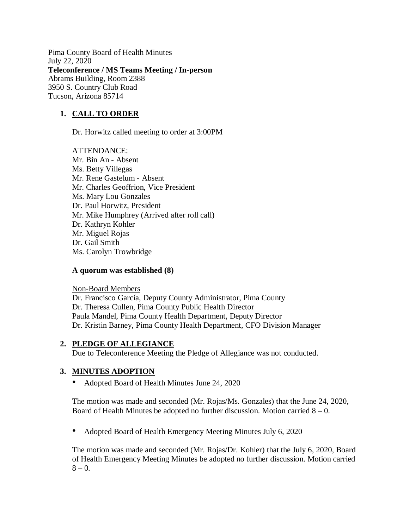Pima County Board of Health Minutes July 22, 2020 **Teleconference / MS Teams Meeting / In-person** Abrams Building, Room 2388 3950 S. Country Club Road Tucson, Arizona 85714

# **1. CALL TO ORDER**

Dr. Horwitz called meeting to order at 3:00PM

ATTENDANCE: Mr. Bin An - Absent Ms. Betty Villegas Mr. Rene Gastelum - Absent Mr. Charles Geoffrion, Vice President Ms. Mary Lou Gonzales Dr. Paul Horwitz, President Mr. Mike Humphrey (Arrived after roll call) Dr. Kathryn Kohler Mr. Miguel Rojas Dr. Gail Smith Ms. Carolyn Trowbridge

### **A quorum was established (8)**

Non-Board Members Dr. Francisco García, Deputy County Administrator, Pima County Dr. Theresa Cullen, Pima County Public Health Director Paula Mandel, Pima County Health Department, Deputy Director Dr. Kristin Barney, Pima County Health Department, CFO Division Manager

### **2. PLEDGE OF ALLEGIANCE**

Due to Teleconference Meeting the Pledge of Allegiance was not conducted.

### **3. MINUTES ADOPTION**

• Adopted Board of Health Minutes June 24, 2020

The motion was made and seconded (Mr. Rojas/Ms. Gonzales) that the June 24, 2020, Board of Health Minutes be adopted no further discussion. Motion carried  $8 - 0$ .

• Adopted Board of Health Emergency Meeting Minutes July 6, 2020

The motion was made and seconded (Mr. Rojas/Dr. Kohler) that the July 6, 2020, Board of Health Emergency Meeting Minutes be adopted no further discussion. Motion carried  $8 - 0.$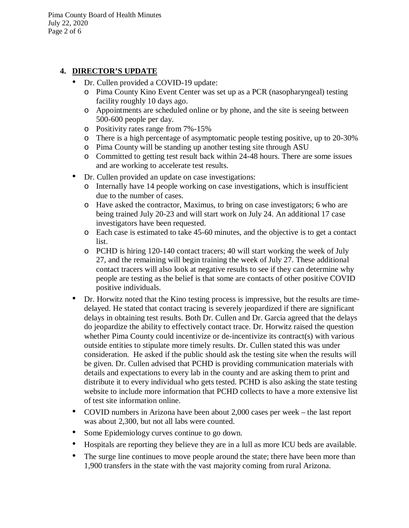Pima County Board of Health Minutes July 22, 2020 Page 2 of 6

### **4. DIRECTOR'S UPDATE**

- Dr. Cullen provided a COVID-19 update:
	- o Pima County Kino Event Center was set up as a PCR (nasopharyngeal) testing facility roughly 10 days ago.
	- o Appointments are scheduled online or by phone, and the site is seeing between 500-600 people per day.
	- o Positivity rates range from 7%-15%
	- o There is a high percentage of asymptomatic people testing positive, up to 20-30%
	- o Pima County will be standing up another testing site through ASU
	- o Committed to getting test result back within 24-48 hours. There are some issues and are working to accelerate test results.
- Dr. Cullen provided an update on case investigations:
	- o Internally have 14 people working on case investigations, which is insufficient due to the number of cases.
	- o Have asked the contractor, Maximus, to bring on case investigators; 6 who are being trained July 20-23 and will start work on July 24. An additional 17 case investigators have been requested.
	- o Each case is estimated to take 45-60 minutes, and the objective is to get a contact list.
	- o PCHD is hiring 120-140 contact tracers; 40 will start working the week of July 27, and the remaining will begin training the week of July 27. These additional contact tracers will also look at negative results to see if they can determine why people are testing as the belief is that some are contacts of other positive COVID positive individuals.
- Dr. Horwitz noted that the Kino testing process is impressive, but the results are timedelayed. He stated that contact tracing is severely jeopardized if there are significant delays in obtaining test results. Both Dr. Cullen and Dr. Garcia agreed that the delays do jeopardize the ability to effectively contact trace. Dr. Horwitz raised the question whether Pima County could incentivize or de-incentivize its contract(s) with various outside entities to stipulate more timely results. Dr. Cullen stated this was under consideration. He asked if the public should ask the testing site when the results will be given. Dr. Cullen advised that PCHD is providing communication materials with details and expectations to every lab in the county and are asking them to print and distribute it to every individual who gets tested. PCHD is also asking the state testing website to include more information that PCHD collects to have a more extensive list of test site information online.
- COVID numbers in Arizona have been about 2,000 cases per week the last report was about 2,300, but not all labs were counted.
- Some Epidemiology curves continue to go down.
- Hospitals are reporting they believe they are in a lull as more ICU beds are available.
- The surge line continues to move people around the state; there have been more than 1,900 transfers in the state with the vast majority coming from rural Arizona.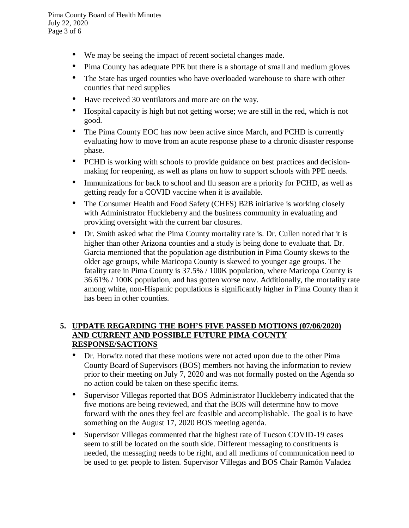Pima County Board of Health Minutes July 22, 2020 Page 3 of 6

- We may be seeing the impact of recent societal changes made.
- Pima County has adequate PPE but there is a shortage of small and medium gloves
- The State has urged counties who have overloaded warehouse to share with other counties that need supplies
- Have received 30 ventilators and more are on the way.
- Hospital capacity is high but not getting worse; we are still in the red, which is not good.
- The Pima County EOC has now been active since March, and PCHD is currently evaluating how to move from an acute response phase to a chronic disaster response phase.
- PCHD is working with schools to provide guidance on best practices and decisionmaking for reopening, as well as plans on how to support schools with PPE needs.
- Immunizations for back to school and flu season are a priority for PCHD, as well as getting ready for a COVID vaccine when it is available.
- The Consumer Health and Food Safety (CHFS) B2B initiative is working closely with Administrator Huckleberry and the business community in evaluating and providing oversight with the current bar closures.
- Dr. Smith asked what the Pima County mortality rate is. Dr. Cullen noted that it is higher than other Arizona counties and a study is being done to evaluate that. Dr. Garcia mentioned that the population age distribution in Pima County skews to the older age groups, while Maricopa County is skewed to younger age groups. The fatality rate in Pima County is 37.5% / 100K population, where Maricopa County is 36.61% / 100K population, and has gotten worse now. Additionally, the mortality rate among white, non-Hispanic populations is significantly higher in Pima County than it has been in other counties.

## **5. UPDATE REGARDING THE BOH'S FIVE PASSED MOTIONS (07/06/2020) AND CURRENT AND POSSIBLE FUTURE PIMA COUNTY RESPONSE/SACTIONS**

- Dr. Horwitz noted that these motions were not acted upon due to the other Pima County Board of Supervisors (BOS) members not having the information to review prior to their meeting on July 7, 2020 and was not formally posted on the Agenda so no action could be taken on these specific items.
- Supervisor Villegas reported that BOS Administrator Huckleberry indicated that the five motions are being reviewed, and that the BOS will determine how to move forward with the ones they feel are feasible and accomplishable. The goal is to have something on the August 17, 2020 BOS meeting agenda.
- Supervisor Villegas commented that the highest rate of Tucson COVID-19 cases seem to still be located on the south side. Different messaging to constituents is needed, the messaging needs to be right, and all mediums of communication need to be used to get people to listen. Supervisor Villegas and BOS Chair Ramón Valadez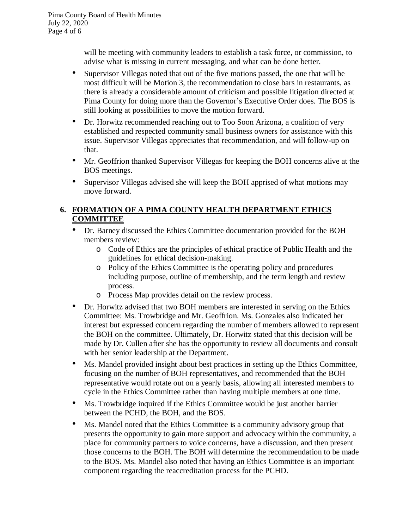will be meeting with community leaders to establish a task force, or commission, to advise what is missing in current messaging, and what can be done better.

- Supervisor Villegas noted that out of the five motions passed, the one that will be most difficult will be Motion 3, the recommendation to close bars in restaurants, as there is already a considerable amount of criticism and possible litigation directed at Pima County for doing more than the Governor's Executive Order does. The BOS is still looking at possibilities to move the motion forward.
- Dr. Horwitz recommended reaching out to Too Soon Arizona, a coalition of very established and respected community small business owners for assistance with this issue. Supervisor Villegas appreciates that recommendation, and will follow-up on that.
- Mr. Geoffrion thanked Supervisor Villegas for keeping the BOH concerns alive at the BOS meetings.
- Supervisor Villegas advised she will keep the BOH apprised of what motions may move forward.

# **6. FORMATION OF A PIMA COUNTY HEALTH DEPARTMENT ETHICS COMMITTEE**

- Dr. Barney discussed the Ethics Committee documentation provided for the BOH members review:
	- o Code of Ethics are the principles of ethical practice of Public Health and the guidelines for ethical decision-making.
	- o Policy of the Ethics Committee is the operating policy and procedures including purpose, outline of membership, and the term length and review process.
	- o Process Map provides detail on the review process.
- Dr. Horwitz advised that two BOH members are interested in serving on the Ethics Committee: Ms. Trowbridge and Mr. Geoffrion. Ms. Gonzales also indicated her interest but expressed concern regarding the number of members allowed to represent the BOH on the committee. Ultimately, Dr. Horwitz stated that this decision will be made by Dr. Cullen after she has the opportunity to review all documents and consult with her senior leadership at the Department.
- Ms. Mandel provided insight about best practices in setting up the Ethics Committee, focusing on the number of BOH representatives, and recommended that the BOH representative would rotate out on a yearly basis, allowing all interested members to cycle in the Ethics Committee rather than having multiple members at one time.
- Ms. Trowbridge inquired if the Ethics Committee would be just another barrier between the PCHD, the BOH, and the BOS.
- Ms. Mandel noted that the Ethics Committee is a community advisory group that presents the opportunity to gain more support and advocacy within the community, a place for community partners to voice concerns, have a discussion, and then present those concerns to the BOH. The BOH will determine the recommendation to be made to the BOS. Ms. Mandel also noted that having an Ethics Committee is an important component regarding the reaccreditation process for the PCHD.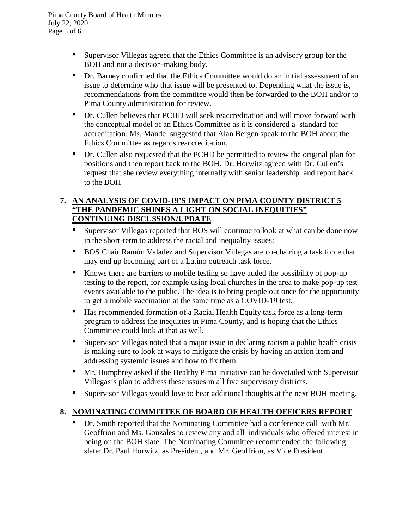- Supervisor Villegas agreed that the Ethics Committee is an advisory group for the BOH and not a decision-making body.
- Dr. Barney confirmed that the Ethics Committee would do an initial assessment of an issue to determine who that issue will be presented to. Depending what the issue is, recommendations from the committee would then be forwarded to the BOH and/or to Pima County administration for review.
- Dr. Cullen believes that PCHD will seek reaccreditation and will move forward with the conceptual model of an Ethics Committee as it is considered a standard for accreditation. Ms. Mandel suggested that Alan Bergen speak to the BOH about the Ethics Committee as regards reaccreditation.
- Dr. Cullen also requested that the PCHD be permitted to review the original plan for positions and then report back to the BOH. Dr. Horwitz agreed with Dr. Cullen's request that she review everything internally with senior leadership and report back to the BOH

### **7. AN ANALYSIS OF COVID-19'S IMPACT ON PIMA COUNTY DISTRICT 5 "THE PANDEMIC SHINES A LIGHT ON SOCIAL INEQUITIES" CONTINUING DISCUSSION/UPDATE**

- Supervisor Villegas reported that BOS will continue to look at what can be done now in the short-term to address the racial and inequality issues:
- BOS Chair Ramón Valadez and Supervisor Villegas are co-chairing a task force that may end up becoming part of a Latino outreach task force.
- Knows there are barriers to mobile testing so have added the possibility of pop-up testing to the report, for example using local churches in the area to make pop-up test events available to the public. The idea is to bring people out once for the opportunity to get a mobile vaccination at the same time as a COVID-19 test.
- Has recommended formation of a Racial Health Equity task force as a long-term program to address the inequities in Pima County, and is hoping that the Ethics Committee could look at that as well.
- Supervisor Villegas noted that a major issue in declaring racism a public health crisis is making sure to look at ways to mitigate the crisis by having an action item and addressing systemic issues and how to fix them.
- Mr. Humphrey asked if the Healthy Pima initiative can be dovetailed with Supervisor Villegas's plan to address these issues in all five supervisory districts.
- Supervisor Villegas would love to hear additional thoughts at the next BOH meeting.

# **8. NOMINATING COMMITTEE OF BOARD OF HEALTH OFFICERS REPORT**

• Dr. Smith reported that the Nominating Committee had a conference call with Mr. Geoffrion and Ms. Gonzales to review any and all individuals who offered interest in being on the BOH slate. The Nominating Committee recommended the following slate: Dr. Paul Horwitz, as President, and Mr. Geoffrion, as Vice President.